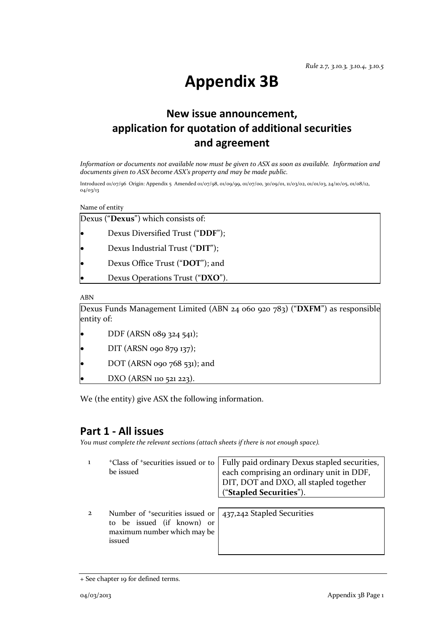# **Appendix 3B**

# **New issue announcement, application for quotation of additional securities and agreement**

*Information or documents not available now must be given to ASX as soon as available. Information and documents given to ASX become ASX's property and may be made public.*

Introduced 01/07/96 Origin: Appendix 5 Amended 01/07/98, 01/09/99, 01/07/00, 30/09/01, 11/03/02, 01/01/03, 24/10/05, 01/08/12, 04/03/13

Name of entity

| Dexus ("Dexus") which consists of:                                                        |
|-------------------------------------------------------------------------------------------|
| Dexus Diversified Trust ("DDF");                                                          |
| Dexus Industrial Trust ("DIT");                                                           |
| Dexus Office Trust ("DOT"); and                                                           |
| Dexus Operations Trust ("DXO").                                                           |
| <b>ABN</b>                                                                                |
| Dexus Funds Management Limited (ABN 24 060 920 783) ("DXFM") as responsible<br>entity of: |
| DDF (ARSN 089 324 541);                                                                   |

- DIT (ARSN 090 879 137);
- DOT (ARSN 090 768 531); and

• DXO (ARSN 110 521 223).

We (the entity) give ASX the following information.

### **Part 1 - All issues**

*You must complete the relevant sections (attach sheets if there is not enough space).*

| <sup>+</sup> Class of <sup>+</sup> securities issued or to<br>be issued                                            | Fully paid ordinary Dexus stapled securities,<br>each comprising an ordinary unit in DDF,<br>DIT, DOT and DXO, all stapled together<br>("Stapled Securities"). |  |
|--------------------------------------------------------------------------------------------------------------------|----------------------------------------------------------------------------------------------------------------------------------------------------------------|--|
| Number of <sup>+</sup> securities issued or<br>to be issued (if known) or<br>maximum number which may be<br>issued | 437,242 Stapled Securities                                                                                                                                     |  |

<sup>+</sup> See chapter 19 for defined terms.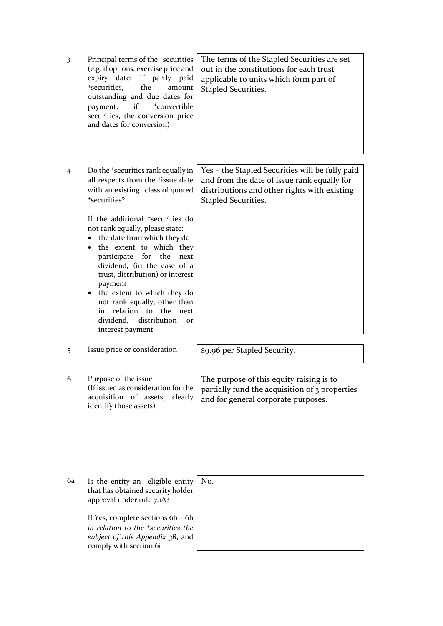| 3 | Principal terms of the <sup>+</sup> securities  <br>(e.g. if options, exercise price and |  |  |  |  |
|---|------------------------------------------------------------------------------------------|--|--|--|--|
|   | expiry date; if partly paid                                                              |  |  |  |  |
|   | *securities, the amount                                                                  |  |  |  |  |
|   | outstanding and due dates for                                                            |  |  |  |  |
|   | payment; if <sup>+</sup> convertible                                                     |  |  |  |  |
|   | securities, the conversion price  <br>and dates for conversion)                          |  |  |  |  |

4 Do the +securities rank equally in all respects from the <sup>+</sup>issue date with an existing +class of quoted +securities?

> If the additional +securities do not rank equally, please state:

- the date from which they do
- the extent to which they participate for the next dividend, (in the case of a trust, distribution) or interest payment
- the extent to which they do not rank equally, other than in relation to the next dividend, distribution or interest payment

5 Issue price or consideration | \$9.96 per Stapled Security.

6 Purpose of the issue (If issued as consideration for the acquisition of assets, clearly identify those assets)

6a Is the entity an +eligible entity that has obtained security holder approval under rule 7.1A?

> If Yes, complete sections 6b – 6h *in relation to the +securities the subject of this Appendix 3B*, and comply with section 6i

No.

The purpose of this equity raising is to partially fund the acquisition of 3 properties

and for general corporate purposes.

Yes – the Stapled Securities will be fully paid and from the date of issue rank equally for distributions and other rights with existing Stapled Securities.

The terms of the Stapled Securities are set out in the constitutions for each trust applicable to units which form part of

Stapled Securities.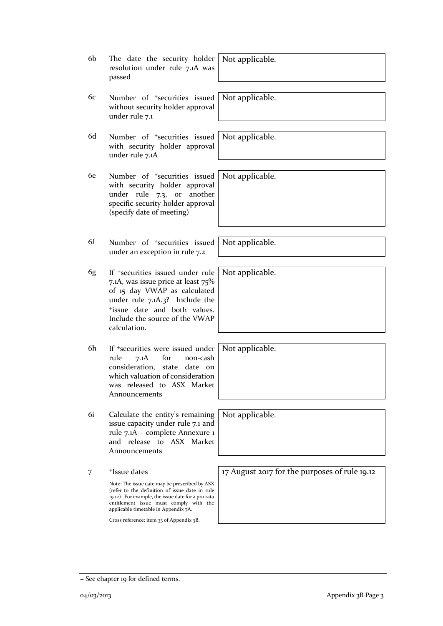| 6b | The date the security holder<br>resolution under rule 7.1A was<br>passed                                                                                                                                                                | Not applicable.                               |
|----|-----------------------------------------------------------------------------------------------------------------------------------------------------------------------------------------------------------------------------------------|-----------------------------------------------|
| 6c | Number of <sup>+</sup> securities issued<br>without security holder approval<br>under rule 7.1                                                                                                                                          | Not applicable.                               |
| 6d | Number of <sup>+</sup> securities issued<br>with security holder approval<br>under rule 7.1A                                                                                                                                            | Not applicable.                               |
| 6e | Number of <sup>+</sup> securities issued<br>with security holder approval<br>under rule 7.3, or<br>another<br>specific security holder approval<br>(specify date of meeting)                                                            | Not applicable.                               |
| 6f | Number of <sup>+</sup> securities issued<br>under an exception in rule 7.2                                                                                                                                                              | Not applicable.                               |
| 6g | If <sup>+</sup> securities issued under rule<br>7.1A, was issue price at least 75%<br>of 15 day VWAP as calculated<br>under rule 7.1A.3? Include the<br>*issue date and both values.<br>Include the source of the VWAP<br>calculation.  | Not applicable.                               |
| 6h | If <sup>+</sup> securities were issued under<br>for<br>rule<br>7.1A<br>non-cash<br>consideration,<br>state<br>date on<br>which valuation of consideration<br>was released to ASX Market<br>Announcements                                | Not applicable.                               |
| 6i | Calculate the entity's remaining<br>issue capacity under rule 7.1 and<br>rule 7.1A - complete Annexure 1<br>and release to ASX Market<br>Announcements                                                                                  | Not applicable.                               |
| 7  | <sup>+</sup> Issue dates                                                                                                                                                                                                                | 17 August 2017 for the purposes of rule 19.12 |
|    | Note: The issue date may be prescribed by ASX<br>(refer to the definition of issue date in rule<br>19.12). For example, the issue date for a pro rata<br>entitlement issue must comply with the<br>applicable timetable in Appendix 7A. |                                               |
|    | Cross reference: item 33 of Appendix 3B.                                                                                                                                                                                                |                                               |
|    |                                                                                                                                                                                                                                         |                                               |

<sup>+</sup> See chapter 19 for defined terms.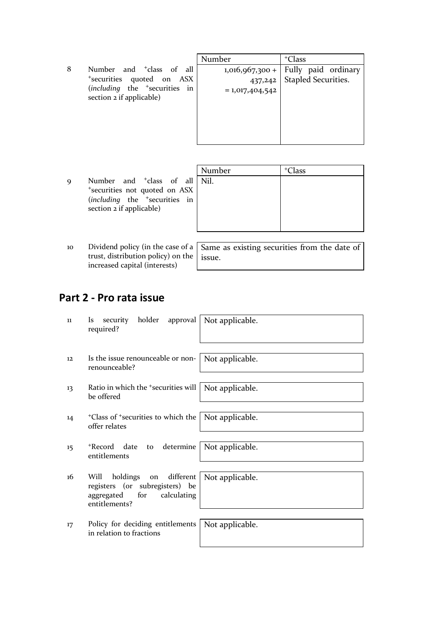8 Number and <sup>+</sup>class of all <sup>+</sup>securities quoted on ASX (*including* the <sup>+</sup>securities in section 2 if applicable)

| Number            | <sup>+</sup> Class  |
|-------------------|---------------------|
| $1,016,967,300+$  | Fully paid ordinary |
| 437,242           | Stapled Securities. |
| $= 1,017,404,542$ |                     |
|                   |                     |
|                   |                     |
|                   |                     |
|                   |                     |
|                   |                     |

Number + Class

Nil.

- 9 Number and <sup>+</sup>class of all <sup>+</sup>securities not quoted on ASX (*including* the <sup>+</sup>securities in section 2 if applicable)
- 10 Dividend policy (in the case of a trust, distribution policy) on the increased capital (interests)

Same as existing securities from the date of issue.

# **Part 2 - Pro rata issue**

| 11 | security holder approval   Not applicable.<br><i>ls</i><br>required?                                                 |                 |
|----|----------------------------------------------------------------------------------------------------------------------|-----------------|
| 12 | Is the issue renounceable or non-<br>renounceable?                                                                   | Not applicable. |
| 13 | Ratio in which the $\pm$ securities will   Not applicable.<br>be offered                                             |                 |
| 14 | <sup>+</sup> Class of <sup>+</sup> securities to which the   Not applicable.<br>offer relates                        |                 |
| 15 | to determine<br>+Record date<br>entitlements                                                                         | Not applicable. |
| 16 | holdings on different<br>Will<br>registers (or subregisters) be<br>calculating<br>for<br>aggregated<br>entitlements? | Not applicable. |
| 17 | Policy for deciding entitlements<br>in relation to fractions                                                         | Not applicable. |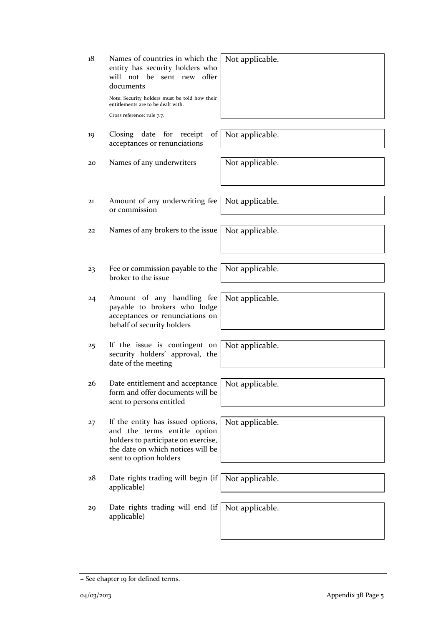| 18 | Names of countries in which the<br>entity has security holders who<br>will not be sent new<br>offer<br>documents<br>Note: Security holders must be told how their<br>entitlements are to be dealt with.<br>Cross reference: rule 7.7. | Not applicable. |
|----|---------------------------------------------------------------------------------------------------------------------------------------------------------------------------------------------------------------------------------------|-----------------|
| 19 | of<br>Closing date<br>for<br>receipt<br>acceptances or renunciations                                                                                                                                                                  | Not applicable. |
| 20 | Names of any underwriters                                                                                                                                                                                                             | Not applicable. |
| 21 | Amount of any underwriting fee<br>or commission                                                                                                                                                                                       | Not applicable. |
| 22 | Names of any brokers to the issue                                                                                                                                                                                                     | Not applicable. |
| 23 | Fee or commission payable to the<br>broker to the issue                                                                                                                                                                               | Not applicable. |
| 24 | Amount of any handling fee<br>payable to brokers who lodge<br>acceptances or renunciations on<br>behalf of security holders                                                                                                           | Not applicable. |
| 25 | If the issue is contingent on<br>security holders' approval, the<br>date of the meeting                                                                                                                                               | Not applicable. |
| 26 | Date entitlement and acceptance   Not applicable.<br>form and offer documents will be<br>sent to persons entitled                                                                                                                     |                 |
| 27 | If the entity has issued options,<br>and the terms entitle option<br>holders to participate on exercise,<br>the date on which notices will be<br>sent to option holders                                                               | Not applicable. |
| 28 | Date rights trading will begin (if<br>applicable)                                                                                                                                                                                     | Not applicable. |
| 29 | Date rights trading will end (if<br>applicable)                                                                                                                                                                                       | Not applicable. |

<sup>+</sup> See chapter 19 for defined terms.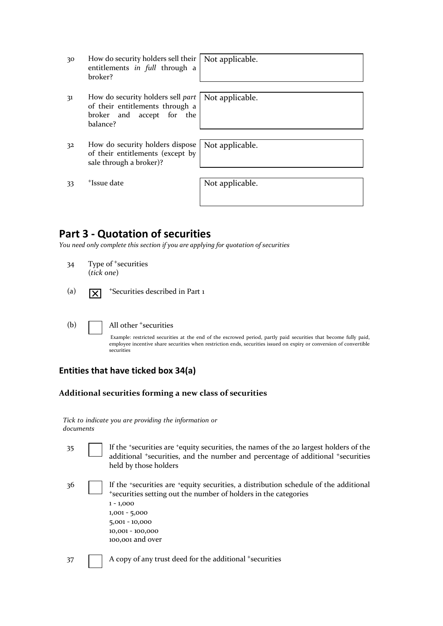| 30 | How do security holders sell their   Not applicable.<br>entitlements in full through a<br>broker?             |                 |
|----|---------------------------------------------------------------------------------------------------------------|-----------------|
| 31 | How do security holders sell part<br>of their entitlements through a<br>broker and accept for the<br>balance? | Not applicable. |
| 32 | How do security holders dispose<br>of their entitlements (except by<br>sale through a broker)?                | Not applicable. |
| 33 | <sup>+</sup> Issue date                                                                                       | Not applicable. |

### **Part 3 - Quotation of securities**

*You need only complete this section if you are applying for quotation of securities*

- 34 Type of +securities (*tick one*)
- (a)  $\overline{|\mathbf{X}|}$  \*Securities described in Part 1
- 

#### (b) | All other + securities

Example: restricted securities at the end of the escrowed period, partly paid securities that become fully paid, employee incentive share securities when restriction ends, securities issued on expiry or conversion of convertible securities

#### **Entities that have ticked box 34(a)**

#### **Additional securities forming a new class of securities**

|           |  |  | Tick to indicate you are providing the information or |  |
|-----------|--|--|-------------------------------------------------------|--|
| documents |  |  |                                                       |  |

35 If the <sup>+</sup>securities are <sup>+</sup>equity securities, the names of the 20 largest holders of the additional <sup>+</sup>securities, and the number and percentage of additional <sup>+</sup>securities held by those holders 36 If the <sup>+</sup>securities are <sup>+</sup>equity securities, a distribution schedule of the additional <sup>+</sup>securities setting out the number of holders in the categories

| $1 - 1,000$      |
|------------------|
| $1,001 - 5,000$  |
| 5,001 - 10,000   |
| 10,001 - 100,000 |
| 100,001 and over |

37 A copy of any trust deed for the additional +securities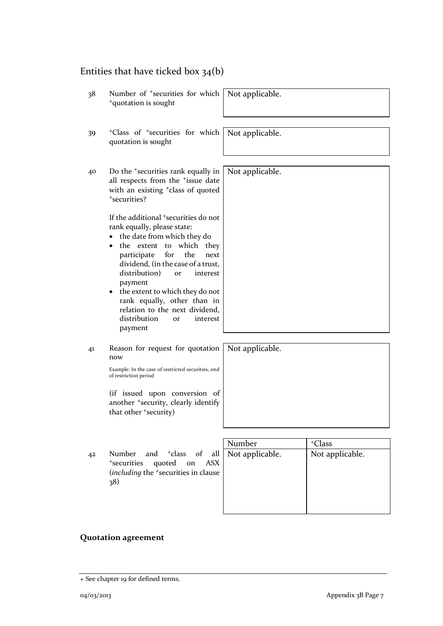# Entities that have ticked box 34(b)

| 38 | Number of <sup>+</sup> securities for which<br><sup>+</sup> quotation is sought                                                                                                                                                                                                                                                                                                                                                                | Not applicable. |                    |
|----|------------------------------------------------------------------------------------------------------------------------------------------------------------------------------------------------------------------------------------------------------------------------------------------------------------------------------------------------------------------------------------------------------------------------------------------------|-----------------|--------------------|
| 39 | <sup>+</sup> Class of <sup>+</sup> securities for which<br>quotation is sought                                                                                                                                                                                                                                                                                                                                                                 | Not applicable. |                    |
| 40 | Do the <sup>+</sup> securities rank equally in<br>all respects from the <sup>+</sup> issue date<br>with an existing <sup>+</sup> class of quoted<br>*securities?                                                                                                                                                                                                                                                                               | Not applicable. |                    |
|    | If the additional <sup>+</sup> securities do not<br>rank equally, please state:<br>the date from which they do<br>extent to<br>which they<br>the<br>for<br>the<br>participate<br>next<br>dividend, (in the case of a trust,<br>distribution)<br>interest<br>or<br>payment<br>the extent to which they do not<br>$\bullet$<br>rank equally, other than in<br>relation to the next dividend,<br>distribution<br>interest<br><b>Or</b><br>payment |                 |                    |
| 41 | Reason for request for quotation<br>now                                                                                                                                                                                                                                                                                                                                                                                                        | Not applicable. |                    |
|    | Example: In the case of restricted securities, end<br>of restriction period                                                                                                                                                                                                                                                                                                                                                                    |                 |                    |
|    | (if issued upon conversion of<br>another <sup>+</sup> security, clearly identify<br>that other +security)                                                                                                                                                                                                                                                                                                                                      |                 |                    |
|    |                                                                                                                                                                                                                                                                                                                                                                                                                                                |                 |                    |
|    |                                                                                                                                                                                                                                                                                                                                                                                                                                                | Number          | <sup>+</sup> Class |
| 42 | and <sup>+</sup> class<br>of<br>Number<br>all<br><sup>+</sup> securities<br>quoted<br>on<br><b>ASX</b><br>(including the <sup>+</sup> securities in clause                                                                                                                                                                                                                                                                                     | Not applicable. | Not applicable.    |

## **Quotation agreement**

 $(38)$ 

<sup>+</sup> See chapter 19 for defined terms.